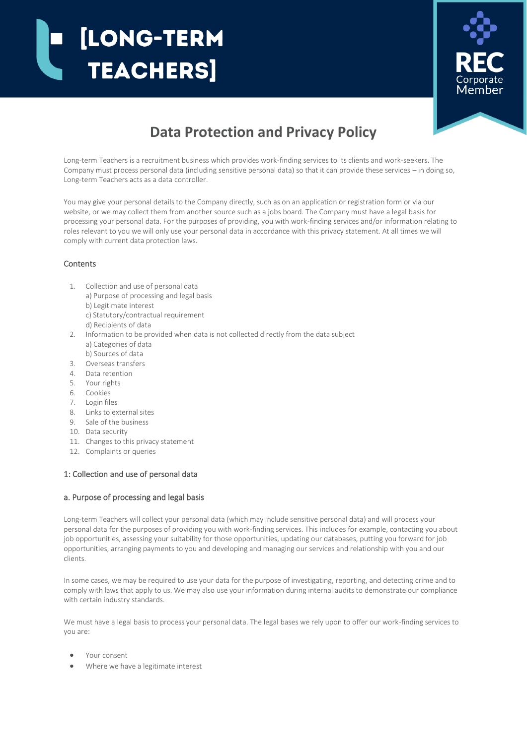# [LONG-TERM **TEACHERS**



# **Data Protection and Privacy Policy**

Long-term Teachers is a recruitment business which provides work-finding services to its clients and work-seekers. The Company must process personal data (including sensitive personal data) so that it can provide these services – in doing so, Long-term Teachers acts as a data controller.

You may give your personal details to the Company directly, such as on an application or registration form or via our website, or we may collect them from another source such as a jobs board. The Company must have a legal basis for processing your personal data. For the purposes of providing, you with work-finding services and/or information relating to roles relevant to you we will only use your personal data in accordance with this privacy statement. At all times we will comply with current data protection laws.

# **Contents**

- 1. Collection and use of personal data
	- a) Purpose of processing and legal basis
	- b) Legitimate interest
	- c) Statutory/contractual requirement
	- d) Recipients of data
- 2. Information to be provided when data is not collected directly from the data subject a) Categories of data
- b) Sources of data
- 3. Overseas transfers
- 4. Data retention
- 5. Your rights
- 6. Cookies
- 7. Login files
- 8. Links to external sites
- 9. Sale of the business
- 10. Data security
- 11. Changes to this privacy statement
- 12. Complaints or queries

# 1: Collection and use of personal data

# a. Purpose of processing and legal basis

Long-term Teachers will collect your personal data (which may include sensitive personal data) and will process your personal data for the purposes of providing you with work-finding services. This includes for example, contacting you about job opportunities, assessing your suitability for those opportunities, updating our databases, putting you forward for job opportunities, arranging payments to you and developing and managing our services and relationship with you and our clients.

In some cases, we may be required to use your data for the purpose of investigating, reporting, and detecting crime and to comply with laws that apply to us. We may also use your information during internal audits to demonstrate our compliance with certain industry standards.

We must have a legal basis to process your personal data. The legal bases we rely upon to offer our work-finding services to you are:

- Your consent
- Where we have a legitimate interest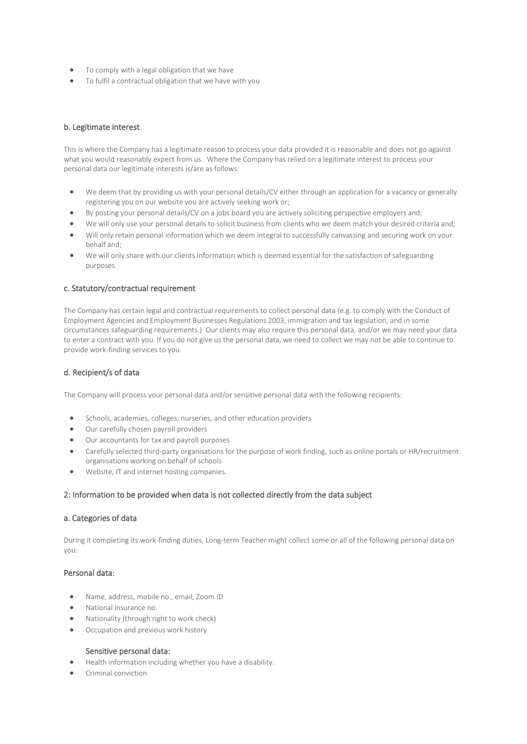- To comply with a legal obligation that we have
- To fulfil a contractual obligation that we have with you

# b. Legitimate interest

This is where the Company has a legitimate reason to process your data provided it is reasonable and does not go against what you would reasonably expect from us. Where the Company has relied on a legitimate interest to process your personal data our legitimate interests is/are as follows:

- We deem that by providing us with your personal details/CV either through an application for a vacancy or generally registering you on our website you are actively seeking work or;
- By posting your personal details/CV on a jobs board you are actively soliciting perspective employers and;
- We will only use your personal details to solicit business from clients who we deem match your desired criteria and;
- Will only retain personal information which we deem integral to successfully canvassing and securing work on your behalf and;
- We will only share with our clients information which is deemed essential for the satisfaction of safeguarding purposes.

#### c. Statutory/contractual requirement

The Company has certain legal and contractual requirements to collect personal data (e.g. to comply with the Conduct of Employment Agencies and Employment Businesses Regulations 2003, immigration and tax legislation, and in some circumstances safeguarding requirements.) Our clients may also require this personal data, and/or we may need your data to enter a contract with you. If you do not give us the personal data, we need to collect we may not be able to continue to provide work-finding services to you.

# d. Recipient/s of data

The Company will process your personal data and/or sensitive personal data with the following recipients:

- Schools, academies, colleges, nurseries, and other education providers
- Our carefully chosen payroll providers
- Our accountants for tax and payroll purposes
- Carefully selected third-party organisations for the purpose of work finding, such as online portals or HR/recruitment organisations working on behalf of schools
- Website, IT and internet hosting companies.

#### 2: Information to be provided when data is not collected directly from the data subject

#### a. Categories of data

During it completing its work-finding duties, Long-term Teacher might collect some or all of the following personal data on you:

#### Personal data:

- Name, address, mobile no., email, Zoom ID
- National insurance no.
- Nationality (through right to work check)
- Occupation and previous work history

#### Sensitive personal data:

- Health information including whether you have a disability.
- Criminal conviction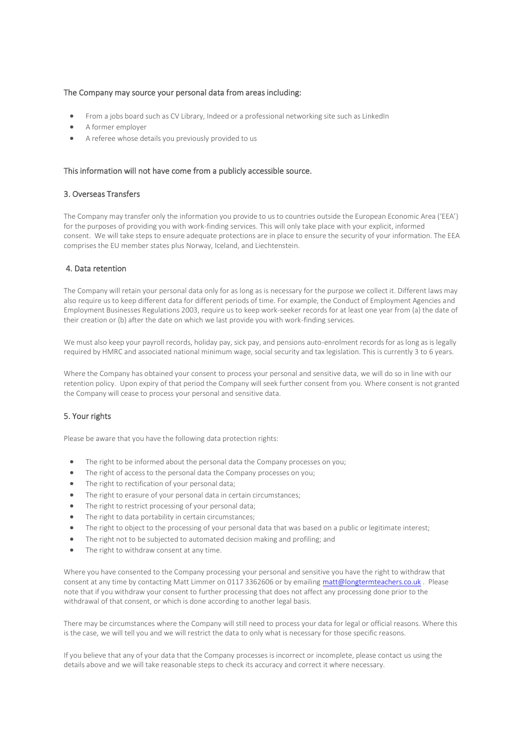#### The Company may source your personal data from areas including:

- From a jobs board such as CV Library, Indeed or a professional networking site such as LinkedIn
- A former employer
- A referee whose details you previously provided to us

#### This information will not have come from a publicly accessible source.

#### 3. Overseas Transfers

The Company may transfer only the information you provide to us to countries outside the European Economic Area ('EEA') for the purposes of providing you with work-finding services. This will only take place with your explicit, informed consent. We will take steps to ensure adequate protections are in place to ensure the security of your information. The EEA comprises the EU member states plus Norway, Iceland, and Liechtenstein.

# 4. Data retention

The Company will retain your personal data only for as long as is necessary for the purpose we collect it. Different laws may also require us to keep different data for different periods of time. For example, the Conduct of Employment Agencies and Employment Businesses Regulations 2003, require us to keep work-seeker records for at least one year from (a) the date of their creation or (b) after the date on which we last provide you with work-finding services.

We must also keep your payroll records, holiday pay, sick pay, and pensions auto-enrolment records for as long as is legally required by HMRC and associated national minimum wage, social security and tax legislation. This is currently 3 to 6 years.

Where the Company has obtained your consent to process your personal and sensitive data, we will do so in line with our retention policy. Upon expiry of that period the Company will seek further consent from you. Where consent is not granted the Company will cease to process your personal and sensitive data.

#### 5. Your rights

Please be aware that you have the following data protection rights:

- The right to be informed about the personal data the Company processes on you;
- The right of access to the personal data the Company processes on you;
- The right to rectification of your personal data;
- The right to erasure of your personal data in certain circumstances;
- The right to restrict processing of your personal data;
- The right to data portability in certain circumstances;
- The right to object to the processing of your personal data that was based on a public or legitimate interest;
- The right not to be subjected to automated decision making and profiling; and
- The right to withdraw consent at any time.

Where you have consented to the Company processing your personal and sensitive you have the right to withdraw that consent at any time by contacting Matt Limmer on 0117 3362606 or by emailin[g matt@longtermteachers.co.uk](mailto:matt@longtermteachers.co.uk). Please note that if you withdraw your consent to further processing that does not affect any processing done prior to the withdrawal of that consent, or which is done according to another legal basis.

There may be circumstances where the Company will still need to process your data for legal or official reasons. Where this is the case, we will tell you and we will restrict the data to only what is necessary for those specific reasons.

If you believe that any of your data that the Company processes is incorrect or incomplete, please contact us using the details above and we will take reasonable steps to check its accuracy and correct it where necessary.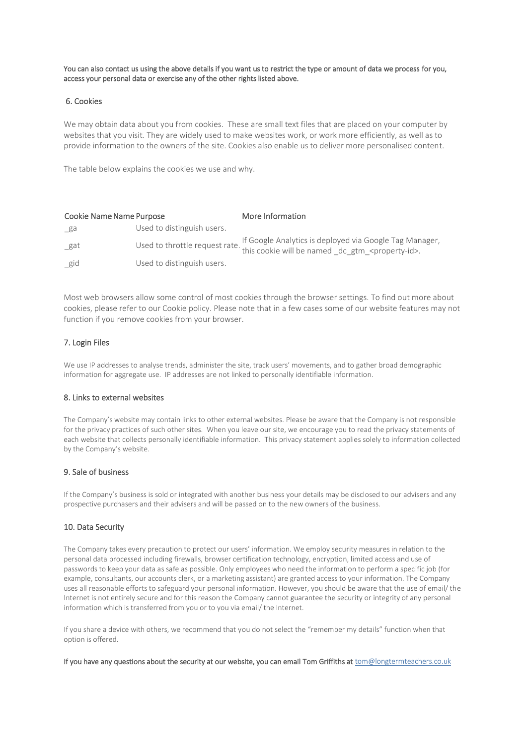You can also contact us using the above details if you want us to restrict the type or amount of data we process for you, access your personal data or exercise any of the other rights listed above.

#### 6. Cookies

We may obtain data about you from cookies. These are small text files that are placed on your computer by websites that you visit. They are widely used to make websites work, or work more efficiently, as well as to provide information to the owners of the site. Cookies also enable us to deliver more personalised content.

The table below explains the cookies we use and why.

| <b>Cookie Name Name Purpose</b> |                            | More Information                                                                                                                                                                                                |
|---------------------------------|----------------------------|-----------------------------------------------------------------------------------------------------------------------------------------------------------------------------------------------------------------|
| $\mathsf{\_}$ ga                | Used to distinguish users. |                                                                                                                                                                                                                 |
| gat                             |                            | If Google Analytics is deployed via Google Tag Manager,<br>Used to throttle request rate. " $\frac{1}{2}$ is cookie will be named $\frac{1}{2}$ dc $\frac{1}{2}$ gtm $\frac{1}{2}$ <property-id>.</property-id> |
| $\_$ gid                        | Used to distinguish users. |                                                                                                                                                                                                                 |

Most web browsers allow some control of most cookies through the browser settings. To find out more about cookies, please refer to our Cookie policy. Please note that in a few cases some of our website features may not function if you remove cookies from your browser.

# 7. Login Files

We use IP addresses to analyse trends, administer the site, track users' movements, and to gather broad demographic information for aggregate use. IP addresses are not linked to personally identifiable information.

#### 8. Links to external websites

The Company's website may contain links to other external websites. Please be aware that the Company is not responsible for the privacy practices of such other sites. When you leave our site, we encourage you to read the privacy statements of each website that collects personally identifiable information. This privacy statement applies solely to information collected by the Company's website.

# 9. Sale of business

If the Company's business is sold or integrated with another business your details may be disclosed to our advisers and any prospective purchasers and their advisers and will be passed on to the new owners of the business.

#### 10. Data Security

The Company takes every precaution to protect our users' information. We employ security measures in relation to the personal data processed including firewalls, browser certification technology, encryption, limited access and use of passwords to keep your data as safe as possible. Only employees who need the information to perform a specific job (for example, consultants, our accounts clerk, or a marketing assistant) are granted access to your information. The Company uses all reasonable efforts to safeguard your personal information. However, you should be aware that the use of email/ the Internet is not entirely secure and for this reason the Company cannot guarantee the security or integrity of any personal information which is transferred from you or to you via email/ the Internet.

If you share a device with others, we recommend that you do not select the "remember my details" function when that option is offered.

If you have any questions about the security at our website, you can email Tom Griffiths at tom@longtermteachers.co.uk